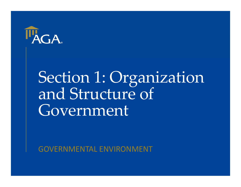

# Section 1: Organization Government

GOVERNMENTAL ENVIRONMENT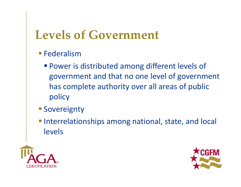### **Levels of Government**

- **Federalism** 
	- **Power is distributed among different levels of** government and that no one level of government has complete authority over all areas of public policy
- **Sovereignty**
- **Interrelationships among national, state, and local** levels



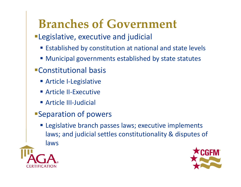### **Branches of Government**

- Legislative, executive and judicial
	- **Established by constitution at national and state levels**
	- **Municipal governments established by state statutes**
- Constitutional basis
	- Article I-Legislative
	- Article II-Executive
	- Article III-Judicial
- Separation of powers
	- **Example 12** Legislative branch passes laws; executive implements laws; and judicial settles constitutionality & disputes of laws



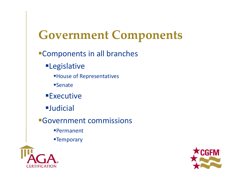### **Government Components**

#### Components in all branches

**ELegislative** 

House of Representatives

**Senate** 

**Executive** 

Judicial

Government commissions

Permanent

**Example Temporary** 



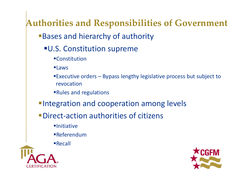### **Authorities and Responsibilities of Government**

**Bases and hierarchy of authority** 

- U.S. Constitution supreme
	- **Constitution**
	- Laws
	- Executive orders Bypass lengthy legislative process but subject to revocation
	- Rules and regulations
- **Integration and cooperation among levels**
- ■Direct-action authorities of citizens
	- $\blacksquare$ Initiative
	- Referendum
	- Recall



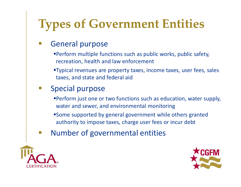### **Types of Government Entities**

#### General purpose

- Perform multiple functions such as public works, public safety, recreation, health and law enforcement
- Typical revenues are property taxes, income taxes, user fees, sales taxes, and state and federal aid

#### $\mathcal{L}_{\mathcal{A}}$ Special purpose

- Perform just one or two functions such as education, water supply, water and sewer, and environmental monitoring
- Some supported by general government while others granted authority to impose taxes, charge user fees or incur debt
- Number of governmental entities



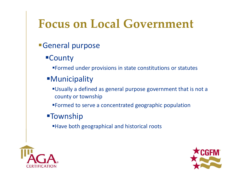### **Focus on Local Government**

- General purpose
	- County
		- Formed under provisions in state constitutions or statutes

#### **Municipality**

- Usually a defined as general purpose government that is not a county or township
- Formed to serve a concentrated geographic population
- **-Township** 
	- Have both geographical and historical roots



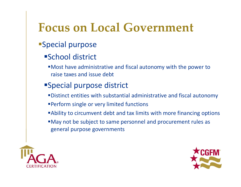### **Focus on Local Government**

#### Special purpose

#### School district

Most have administrative and fiscal autonomy with the power to raise taxes and issue debt

#### Special purpose district

- Distinct entities with substantial administrative and fiscal autonomy
- Perform single or very limited functions
- Ability to circumvent debt and tax limits with more financing options
- May not be subject to same personnel and procurement rules as general purpose governments



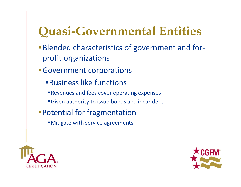### **Quasi‐Governmental Entities**

- ■Blended characteristics of government and forprofit organizations
- Government corporations
	- Business like functions
	- Revenues and fees cover operating expenses
	- **Given authority to issue bonds and incur debt**
- Potential for fragmentation
	- Mitigate with service agreements



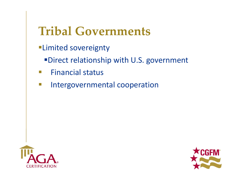### **Tribal Governments**

- Limited sovereignty
	- Direct relationship with U.S. government
- $\overline{\phantom{a}}$ Financial status
- $\mathcal{L}_{\mathcal{A}}$ Intergovernmental cooperation



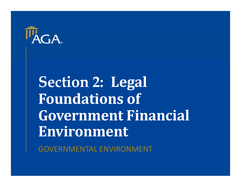

**Section 2: Legal Foundations of Government Financial Environment**

GOVERNMENTAL ENVIRONMENT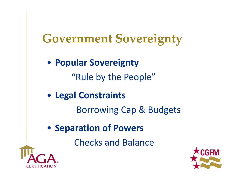### **Government Sovereignty**

• **Popular Sovereignty** "Rule by the People"

• **Legal Constraints**

Borrowing Cap & Budgets

• **Separation of Powers**

Checks and Balance



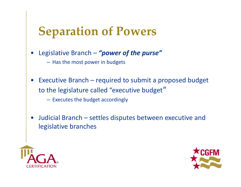### **Separation of Powers**

- • Legislative Branch – *"power of the purse"*
	- Has the most power in budgets
- • Executive Branch – required to submit a proposed budget to the legislature called "executive budget"
	- Executes the budget accordingly
- • Judicial Branch – settles disputes between executive and legislative branches



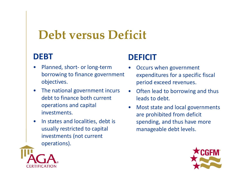### **Debt versus Deficit**

#### **DEBT**

- $\bullet$  Planned, short‐ or long‐term borrowing to finance government objectives.
- $\bullet$  The national government incurs debt to finance both current operations and capital investments.
- $\bullet$  In states and localities, debt is usually restricted to capital investments (not current operations).

#### **DEFICIT**

- • Occurs when government expenditures for a specific fiscal period exceed revenues.
- $\bullet$  Often lead to borrowing and thus leads to debt.
- • Most state and local governments are prohibited from deficit spending, and thus have more manageable debt levels.



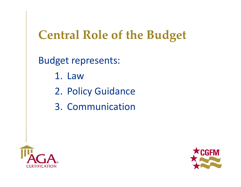### **Central Role of the Budget**

Budget represents:

- 1. Law
- 2. Policy Guidance
- 3. Communication



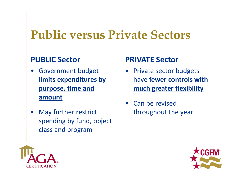### **Public versus Private Sectors**

#### **PUBLIC Sector**

- • Government budget **limits expenditures by purpose, time and amount**
- • May further restrict spending by fund, object class and program

#### **PRIVATE Sector**

- Private sector budgets have **fewer controls with much greater flexibility**
- Can be revised throughout the year



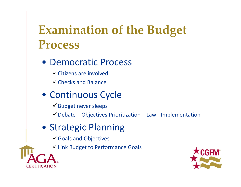### **Examination of the Budget Process**

- Democratic Process
	- $\checkmark$  Citizens are involved
	- $\checkmark$  Checks and Balance
- Continuous Cycle
	- $\checkmark$  Budget never sleeps
	- $\checkmark$  Debate Objectives Prioritization Law Implementation
- Strategic Planning
	- Goals and Objectives
	- Link Budget to Performance Goals



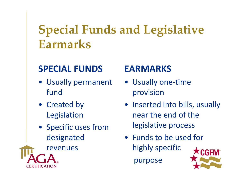### **Special Funds and Legislative Earmarks**

#### **SPECIAL FUNDS**

- Usually permanent fund
- Created by Legislation
- Specific uses from designated
- revenues

#### **EARMARKS**

- Usually one-time provision
- Inserted into bills, usually near the end of the legislative process
- Funds to be used for highly specific purpose

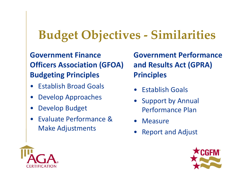### **Budget Objectives ‐ Similarities**

#### **Government Finance Officers Association (GFOA) Budgeting Principles**

- $\bullet$ Establish Broad Goals
- •Develop Approaches
- •Develop Budget
- • Evaluate Performance & Make Adjustments

**Government Performance and Results Act (GPRA) Principles**

- •Establish Goals
- • Support by Annual Performance Plan
- $\bullet$ **Measure**
- •Report and Adjust



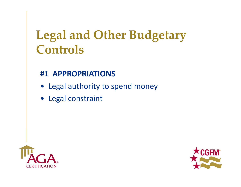#### **#1 APPROPRIATIONS**

- Legal authority to spend money
- Legal constraint



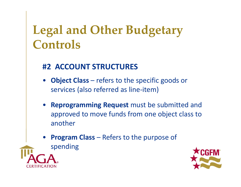#### **#2 ACCOUNT STRUCTURES**

- **Object Class**  refers to the specific goods or services (also referred as line‐item)
- **Reprogramming Request** must be submitted and approved to move funds from one object class to another
- •**Program Class – Refers to the purpose of** spending



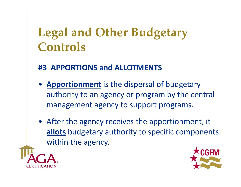#### **#3 APPORTIONS and ALLOTMENTS**

- **Apportionment** is the dispersal of budgetary authority to an agency or program by the central management agency to support programs.
- After the agency receives the apportionment, it **allots** budgetary authority to specific components within the agency.



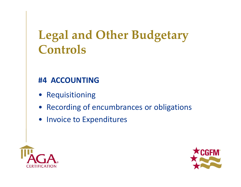#### **#4 ACCOUNTING**

- Requisitioning
- Recording of encumbrances or obligations
- Invoice to Expenditures



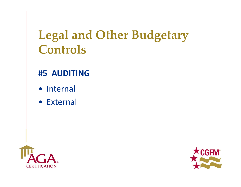#### **#5 AUDITING**

- Internal
- External



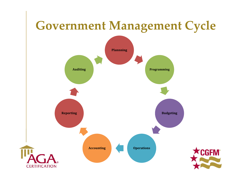### **Government Management Cycle**

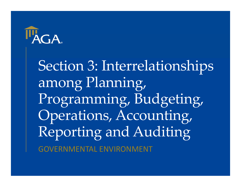

Section 3: Interrelationships among Planning, Programming, Budgeting, Operations, Accounting, Reporting and Auditing GOVERNMENTAL ENVIRONMENT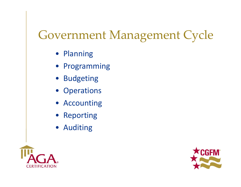### Government Management Cycle

- Planning
- Programming
- Budgeting
- Operations
- Accounting
- Reporting
- Auditing



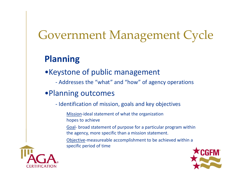### Government Management Cycle

#### **Planning**

•Keystone of public management

‐ Addresses the "what" and "how" of agency operations

#### •Planning outcomes

‐ Identification of mission, goals and key objectives

Mission‐ideal statement of what the organization hopes to achieve

Goal‐ broad statement of purpose for a particular program within the agency, more specific than a mission statement.

Objective‐measureable accomplishment to be achieved within a specific period of time



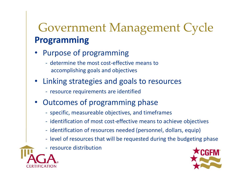### Government Management Cycle **Programming**

- • Purpose of programming
	- ‐ determine the most cost‐effective means to accomplishing goals and objectives
- • Linking strategies and goals to resources
	- ‐ resource requirements are identified
- Outcomes of programming phase
	- ‐ specific, measureable objectives, and timeframes
	- ‐ identification of most cost‐effective means to achieve objectives
	- ‐ identification of resources needed (personnel, dollars, equip)
	- ‐ level of resources that will be requested during the budgeting phase
	- ‐ resource distribution



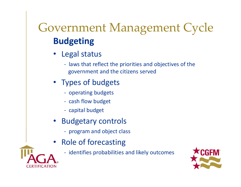### Government Management Cycle **Budgeting**

- Legal status
	- ‐ laws that reflect the priorities and objectives of the government and the citizens served
- Types of budgets
	- ‐ operating budgets
	- ‐ cash flow budget
	- ‐ capital budget
- Budgetary controls
	- ‐ program and object class
- • Role of forecasting
	- ‐ identifies probabilities and likely outcomes



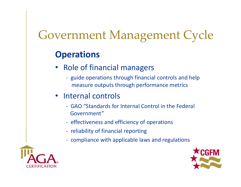### Government Management Cycle

#### **Operations**

- • Role of financial managers
	- ‐ guide operations through financial controls and help measure outputs through performance metrics

#### • Internal controls

- ‐ GAO "Standards for Internal Control in the Federal Government"
- ‐ effectiveness and efficiency of operations
- ‐ reliability of financial reporting
- ‐ compliance with applicable laws and regulations



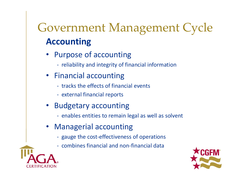### Government Management Cycle **Accounting**

- • Purpose of accounting
	- ‐ reliability and integrity of financial information
- Financial accounting
	- ‐ tracks the effects of financial events
	- ‐ external financial reports
- • Budgetary accounting
	- ‐ enables entities to remain legal as well as solvent
- $\bullet$  Managerial accounting
	- ‐ gauge the cost‐effectiveness of operations
	- ‐ combines financial and non‐financial data



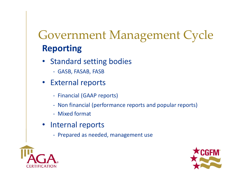### Government Management Cycle **Reporting**

- Standard setting bodies
	- ‐ GASB, FASAB, FASB
- External reports
	- ‐ Financial (GAAP reports)
	- ‐ Non financial (performance reports and popular reports)
	- ‐ Mixed format
- Internal reports
	- ‐ Prepared as needed, management use



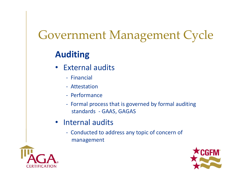### Government Management Cycle

#### **Auditing**

- $\bullet$  External audits
	- ‐ Financial
	- ‐ Attestation
	- ‐ Performance
	- ‐ Formal process that is governed by formal auditing standards ‐ GAAS, GAGAS
- Internal audits
	- ‐ Conducted to address any topic of concern of management



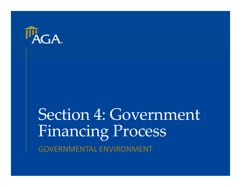

## Section 4: Government Financing Process GOVERNMENTAL ENVIRONMENT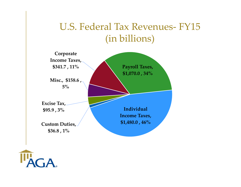#### U.S. Federal Tax Revenues‐ FY15 (in billions)



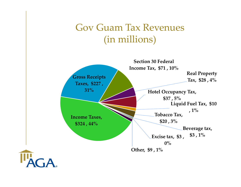#### Gov Guam Tax Revenues (in millions)

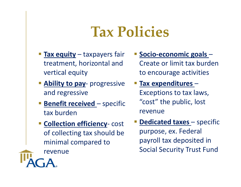### **Tax Policies**

- **Tax equity** taxpayers fair treatment, horizontal and vertical equity
- **Ability to pay** progressive and regressive
- **Benefit received** specific tax burden
- **Example Collection efficiency-cost** of collecting tax should be minimal compared to

revenue

- **Socio-economic goals -**Create or limit tax burden to encourage activities
- **Tax expenditures**  Exceptions to tax laws, "cost" the public, lost revenue
- **Service Service Dedicated taxes** – specific purpose, ex. Federal payroll tax deposited in Social Security Trust Fund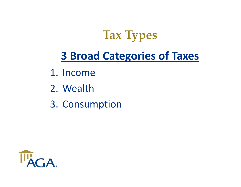**Tax Types**

#### **3 Broad Categories of Taxes**

- 1. Income
- 2. Wealth
- 3. Consumption

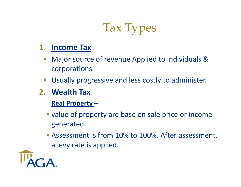### Tax Types

#### **1. Income Tax**

- $\mathcal{L}_{\mathcal{A}}$  Major source of revenue Applied to individuals & corporations
- $\mathcal{L}_{\mathcal{A}}$ Usually progressive and less costly to administer.
- **2. Wealth Tax**

**Real Property** –

- **value of property are base on sale price or income** generated.
- **Assessment is from 10% to 100%. After assessment,** a levy rate is applied.

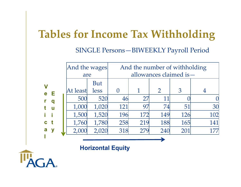#### **Tables for Income Tax Withholding**

#### SINGLE Persons—BIWEEKLY Payroll Period

|                         |   | And the wages<br>are |       | And the number of withholding |     |     |     |     |
|-------------------------|---|----------------------|-------|-------------------------------|-----|-----|-----|-----|
|                         |   |                      |       | allowances claimed is-        |     |     |     |     |
| $\overline{\mathsf{V}}$ |   |                      | But   |                               |     |     |     |     |
| e                       | Е | At least             | less  |                               |     |     | 3   |     |
| r                       | q | 500                  | 520   | 46                            |     |     |     |     |
| t                       | U | 1,000                | 1,020 | 121                           | 97  | 74  | 51  | 30  |
|                         |   | 1,500                | 1,520 | 196                           | 172 | 149 | 126 | 102 |
| $\mathbf{c}$            |   | 1,760                | 1,780 | 258                           | 219 | 188 | 165 | 141 |
| a                       |   | 2,000                | 2,020 | 318                           | 279 | 240 | 201 | 177 |
|                         |   |                      |       |                               |     |     |     |     |

**Horizontal Equity**

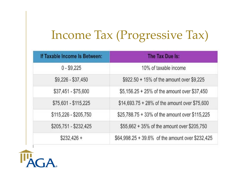### Income Tax (Progressive Tax)

| If Taxable Income Is Between: | The Tax Due Is:                                  |  |  |  |  |
|-------------------------------|--------------------------------------------------|--|--|--|--|
| $0 - $9,225$                  | 10% of taxable income                            |  |  |  |  |
| \$9,226 - \$37,450            | \$922.50 + 15% of the amount over \$9,225        |  |  |  |  |
| \$37,451 - \$75,600           | \$5,156.25 + 25% of the amount over \$37,450     |  |  |  |  |
| \$75,601 - \$115,225          | \$14,693.75 + 28% of the amount over \$75,600    |  |  |  |  |
| \$115,226 - \$205,750         | \$25,788.75 + 33% of the amount over \$115,225   |  |  |  |  |
| \$205,751 - \$232,425         | \$55,662 + 35% of the amount over \$205,750      |  |  |  |  |
| $$232.426 +$                  | \$64,998.25 + 39.6% of the amount over \$232,425 |  |  |  |  |

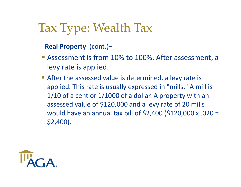#### Tax Type: Wealth Tax

#### **Real Property**  (cont.)–

- **Assessment is from 10% to 100%. After assessment, a** levy rate is applied.
- After the assessed value is determined, a levy rate is applied. This rate is usually expressed in "mills." A mill is 1/10 of a cent or 1/1000 of a dollar. A property with an assessed value of \$120,000 and a levy rate of 20 mills would have an annual tax bill of \$2,400 (\$120,000 x .020 = \$2,400).

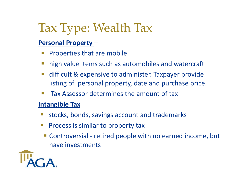### Tax Type: Wealth Tax

#### **Personal Property** –

- Ŧ Properties that are mobile
- Ŧ high value items such as automobiles and watercraft
- difficult & expensive to administer. Taxpayer provide listing of personal property, date and purchase price.
- Tax Assessor determines the amount of tax

#### **Intangible Tax**

- stocks, bonds, savings account and trademarks
- $\mathcal{L}_{\mathcal{A}}$  Process is similar to property tax
	- Controversial retired people with no earned income, but have investments

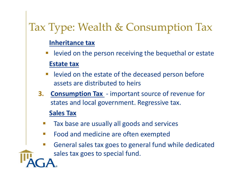#### Tax Type: Wealth & Consumption Tax

#### **Inheritance tax**

- p. levied on the person receiving the bequethal or estate **Estate tax**
- levied on the estate of the deceased person before assets are distributed to heirs
- **3. Consumption Tax**  ‐ important source of revenue for states and local government. Regressive tax.

#### **Sales Tax**

- Tax base are usually all goods and services
- Food and medicine are often exempted
- $\Box$ General sales tax goes to general fund while dedicated

sales tax goes to special fund.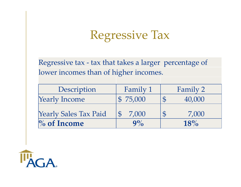### Regressive Tax

Regressive tax - tax that takes a larger percentage of lower incomes than of higher incomes.

| Description                  | Family 1 | Family 2 |
|------------------------------|----------|----------|
| <b>Yearly Income</b>         | \$75,000 | 40,000   |
| <b>Yearly Sales Tax Paid</b> | 7,000    | 7,000    |
| $\%$ of Income               | 9%       | 18%      |

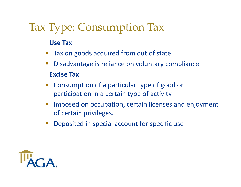#### Tax Type: Consumption Tax

#### **Use Tax**

- p. Tax on goods acquired from out of state
- $\Box$ Disadvantage is reliance on voluntary compliance

#### **Excise Tax**

- Consumption of a particular type of good or participation in a certain type of activity
- $\mathbb{R}^3$  Imposed on occupation, certain licenses and enjoyment of certain privileges.
- $\mathbb{R}^n$ Deposited in special account for specific use

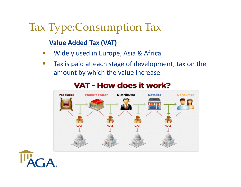#### Tax Type:Consumption Tax

#### **Value Added Tax (VAT)**

- p. Widely used in Europe, Asia & Africa
- p. Tax is paid at each stage of development, tax on the amount by which the value increase



#### **VAT - How does it work?**

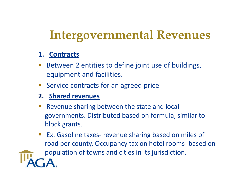### **Intergovernmental Revenues**

#### **1. Contracts**

- Between 2 entities to define joint use of buildings, equipment and facilities.
- Service contracts for an agreed price

#### **2. Shared revenues**

- Revenue sharing between the state and local governments. Distributed based on formula, similar to block grants.
- $\mathbb{R}^n$  Ex. Gasoline taxes‐ revenue sharing based on miles of road per county. Occupancy tax on hotel rooms‐ based on

population of towns and cities in its jurisdiction.

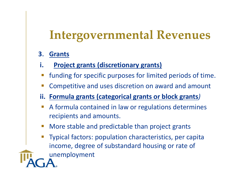### **Intergovernmental Revenues**

- **3**.**Grants**
- **i. Project grants (discretionary grants)**
- funding for specific purposes for limited periods of time.
- Competitive and uses discretion on award and amount
- **ii. Formula grants (categorical grants or block grants***)*
- A formula contained in law or regulations determines recipients and amounts.
- More stable and predictable than project grants
- **Service Service**  Typical factors: population characteristics, per capita income, degree of substandard housing or rate of

unemployment

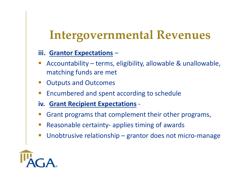### **Intergovernmental Revenues**

#### **iii. Grantor Expectations** –

- Accountability terms, eligibility, allowable & unallowable, matching funds are met
- $\mathcal{L}_{\mathcal{A}}$ Outputs and Outcomes
- Encumbered and spent according to schedule
- **iv. Grant Recipient Expectations** ‐
- Grant programs that complement their other programs,
- $\mathbb{R}^n$ Reasonable certainty‐ applies timing of awards
- $\mathbb{R}^n$ Unobtrusive relationship – grantor does not micro‐manage

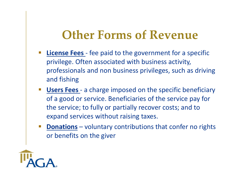#### **Other Forms of Revenue**

- **License Fees** fee paid to the government for a specific privilege. Often associated with business activity, professionals and non business privileges, such as driving and fishing
- $\Box$  **Users Fees** ‐ a charge imposed on the specific beneficiary of a good or service. Beneficiaries of the service pay for the service; to fully or partially recover costs; and to expand services without raising taxes.
- **Donations** – voluntary contributions that confer no rights or benefits on the giver

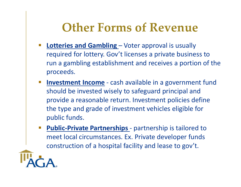#### **Other Forms of Revenue**

- **Service Service Lotteries and Gambling** – Voter approval is usually required for lottery. Gov't licenses a private business to run a gambling establishment and receives a portion of the proceeds.
- $\mathbb{R}^n$ **Investment Income** - cash available in a government fund should be invested wisely to safeguard principal and provide a reasonable return. Investment policies define the type and grade of investment vehicles eligible for public funds.
- **Service Service Public-Private Partnerships** - partnership is tailored to meet local circumstances. Ex. Private developer funds construction of a hospital facility and lease to gov't.

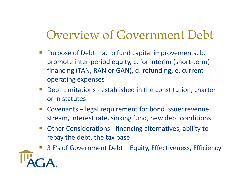#### Overview of Government Debt

- $\mathcal{L}_{\text{max}}$  Purpose of Debt – a. to fund capital improvements, b. promote inter‐period equity, c. for interim (short‐term) financing (TAN, RAN or GAN), d. refunding, e. current operating expenses
- $\mathcal{L}_{\mathcal{A}}$  Debt Limitations ‐ established in the constitution, charter or in statutes
- $\mathcal{L}_{\mathcal{A}}$  Covenants – legal requirement for bond issue: revenue stream, interest rate, sinking fund, new debt conditions
- $\mathcal{L}_{\mathcal{A}}$  Other Considerations ‐ financing alternatives, ability to repay the debt, the tax base

3 E's of Government Debt – Equity, Effectiveness, Efficiency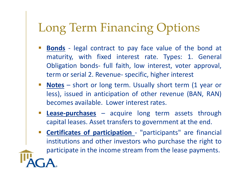### Long Term Financing Options

- **Bonds** ‐ legal contract to pay face value of the bond at maturity, with fixed interest rate. Types: 1. General Obligation bonds‐ full faith, low interest, voter approval, term or serial 2. Revenue‐ specific, higher interest
- **Notes** short or long term. Usually short term (1 year or less), issued in anticipation of other revenue (BAN, RAN) becomes available. Lower interest rates.
- **Lease‐purchases** acquire long term assets through capital leases. Asset transfers to government at the end.
- $\mathcal{L}_{\mathcal{A}}$  **Certificates of participation** ‐ "participants" are financial institutions and other investors who purchase the right to participate in the income stream from the lease payments.

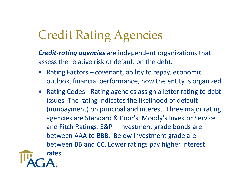### Credit Rating Agencies

*Credit‐rating agencies* are independent organizations that assess the relative risk of default on the debt.

- • Rating Factors – covenant, ability to repay, economic outlook, financial performance, how the entity is organized
- Rating Codes ‐ Rating agencies assign a letter rating to debt issues. The rating indicates the likelihood of default (nonpayment) on principal and interest. Three major rating agencies are Standard & Poor's, Moody's Investor Service and Fitch Ratings. S&P – Investment grade bonds are between AAA to BBB. Below investment grade are between BB and CC. Lower ratings pay higher interest

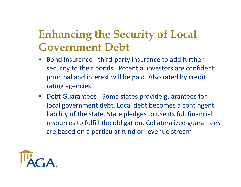#### **Enhancing the Security of Local Government Debt**

- • Bond Insurance ‐ third‐party insurance to add further security to their bonds. Potential investors are confident principal and interest will be paid. Also rated by credit rating agencies.
- Debt Guarantees ‐ Some states provide guarantees for local government debt. Local debt becomes a contingent liability of the state. State pledges to use its full financial resources to fulfill the obligation. Collateralized guarantees are based on a particular fund or revenue stream

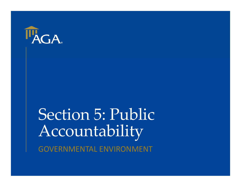

### Section 5: Public Accountability GOVERNMENTAL ENVIRONMENT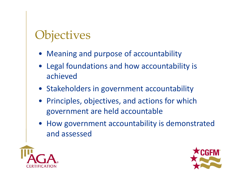### **Objectives**

- Meaning and purpose of accountability
- Legal foundations and how accountability is achieved
- Stakeholders in government accountability
- Principles, objectives, and actions for which government are held accountable
- How government accountability is demonstrated and assessed



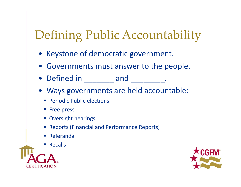### Defining Public Accountability

- Keystone of democratic government.
- Governments must answer to the people.
- Defined in \_\_\_\_\_\_\_ and \_\_\_\_\_\_\_\_.
- Ways governments are held accountable:
	- **Periodic Public elections**
	- **Free press**
	- **Oversight hearings**
	- **Reports (Financial and Performance Reports)**
	- Referanda
	- Recalls



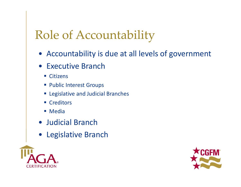### Role of Accountability

- Accountability is due at all levels of government
- Executive Branch
	- Citizens
	- **Public Interest Groups**
	- **Example 3 Legislative and Judicial Branches**
	- Creditors
	- Media
- Judicial Branch
- Legislative Branch



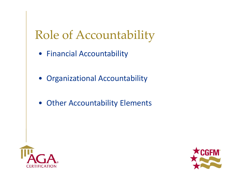### Role of Accountability

- Financial Accountability
- Organizational Accountability
- Other Accountability Elements



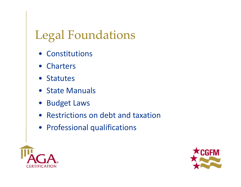### Legal Foundations

- Constitutions
- Charters
- Statutes
- State Manuals
- Budget Laws
- Restrictions on debt and taxation
- Professional qualifications



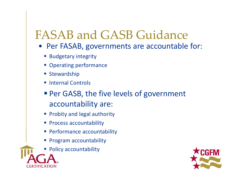#### FASAB and GASB Guidance

- Per FASAB, governments are accountable for:
	- **Budgetary integrity**
	- **Derating performance**
	- **Stewardship**
	- **Internal Controls**
	- **Per GASB, the five levels of government** accountability are:
	- **Probity and legal authority**
	- **Process accountability**
	- **Performance accountability**
	- **Program accountability**
	- **Policy accountability**

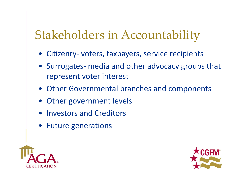### Stakeholders in Accountability

- Citizenry‐ voters, taxpayers, service recipients
- Surrogates- media and other advocacy groups that represent voter interest
- Other Governmental branches and components
- Other government levels
- Investors and Creditors
- Future generations



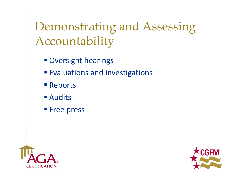Demonstrating and Assessing Accountability

- **Oversight hearings**
- **Evaluations and investigations**
- **Reports**
- Audits
- **Free press**



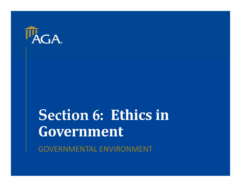

## **Section 6: Ethics in Government**

GOVERNMENTAL ENVIRONMENT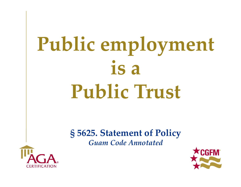# **Public employment is a Public Trust**

**§ 5625. Statement of Policy** *Guam Code Annotated*



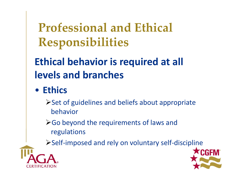**Professional and Ethical Responsibilities**

#### **Ethical behavior is required at all levels and branches**

• **Ethics**

 $\triangleright$  Set of guidelines and beliefs about appropriate behavior

**≻Go beyond the requirements of laws and** regulations

Self‐imposed and rely on voluntary self‐discipline



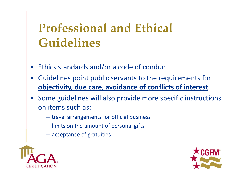### **Professional and Ethical Guidelines**

- •Ethics standards and/or a code of conduct
- • Guidelines point public servants to the requirements for **objectivity, due care, avoidance of conflicts of interest**
- • Some guidelines will also provide more specific instructions on items such as:
	- travel arrangements for official business
	- limits on the amount of personal gifts
	- acceptance of gratuities



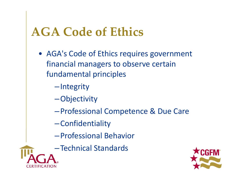### **AGA Code of Ethics**

• AGA's Code of Ethics requires government financial managers to observe certain fundamental principles

–Integrity

- –Objectivity
- –Professional Competence & Due Care
- –Confidentiality
- –Professional Behavior
- –Technical Standards

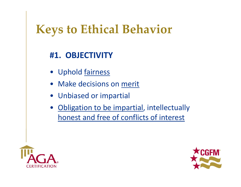### **Keys to Ethical Behavior**

#### **#1. OBJECTIVITY**

- Uphold fairness
- Make decisions on merit
- •Unbiased or impartial
- • Obligation to be impartial, intellectually honest and free of conflicts of interest



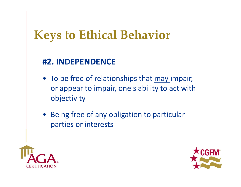### **Keys to Ethical Behavior**

#### **#2. INDEPENDENCE**

- To be free of relationships that may impair, or appear to impair, one's ability to act with objectivity
- Being free of any obligation to particular parties or interests



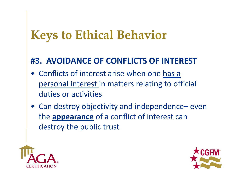#### **Keys to Ethical Behavior**

#### **#3. AVOIDANCE OF CONFLICTS OF INTEREST**

- Conflicts of interest arise when one has a personal interest in matters relating to official duties or activities
- Can destroy objectivity and independence– even the **appearance** of a conflict of interest can destroy the public trust



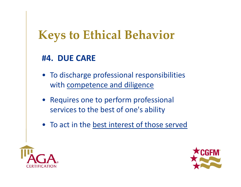### **Keys to Ethical Behavior**

#### **#4. DUE CARE**

- To discharge professional responsibilities with competence and diligence
- Requires one to perform professional services to the best of one's ability
- To act in the best interest of those served



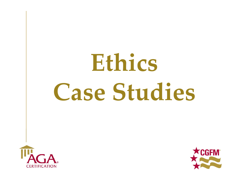# **Ethics Case Studies**



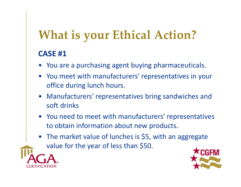- You are a purchasing agent buying pharmaceuticals.
- You meet with manufacturers' representatives in your office during lunch hours.
- Manufacturers' representatives bring sandwiches and soft drinks
- You need to meet with manufacturers' representatives to obtain information about new products.
- The market value of lunches is \$5, with an aggregate value for the year of less than \$50.



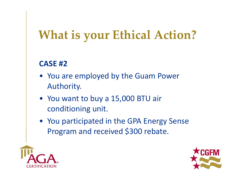- You are employed by the Guam Power Authority.
- You want to buy a 15,000 BTU air conditioning unit.
- You participated in the GPA Energy Sense Program and received \$300 rebate.



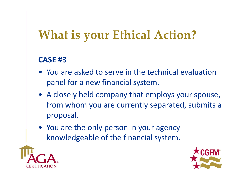- You are asked to serve in the technical evaluation panel for a new financial system.
- A closely held company that employs your spouse, from whom you are currently separated, submits a proposal.
- You are the only person in your agency knowledgeable of the financial system.



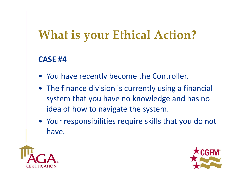- You have recently become the Controller.
- The finance division is currently using a financial system that you have no knowledge and has no idea of how to navigate the system.
- Your responsibilities require skills that you do not have.



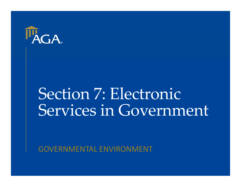

# Section 7: Electronic Services in Government

GOVERNMENTAL ENVIRONMENT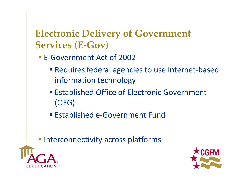#### **Electronic Delivery of Government Services (E‐Gov)**

- E-Government Act of 2002
	- Requires federal agencies to use Internet-based information technology
	- **Established Office of Electronic Government** (OEG)
	- Established e-Government Fund

**Interconnectivity across platforms** 



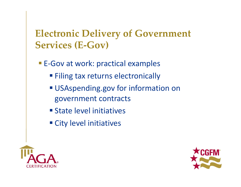#### **Electronic Delivery of Government Services (E‐Gov)**

- E-Gov at work: practical examples
	- **Filing tax returns electronically**
	- USAspending.gov for information on government contracts
	- **State level initiatives**
	- **City level initiatives**



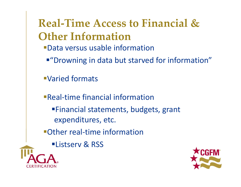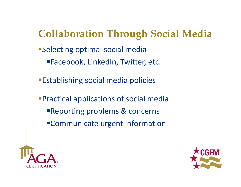#### **Collaboration Through Social Media**

- Selecting optimal social media
	- Facebook, LinkedIn, Twitter, etc.
- Establishing social media policies
- Practical applications of social media
	- Reporting problems & concerns
	- Communicate urgent information



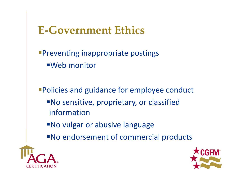#### **E‐Government Ethics**

Preventing inappropriate postings Web monitor

Policies and guidance for employee conduct No sensitive, proprietary, or classified information

No vulgar or abusive language

No endorsement of commercial products



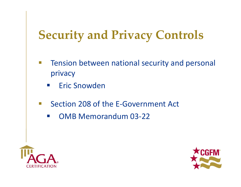- $\overline{\mathbb{R}^2}$  Tension between national security and personal privacy
	- $\mathcal{L}^{\text{max}}$ Eric Snowden
- $\Box$  Section 208 of the E‐Government Act
	- $\mathcal{L}^{\text{max}}$ OMB Memorandum 03‐22



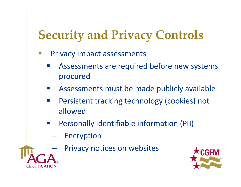- $\mathbb{R}^n$  Privacy impact assessments
	- Assessments are required before new systems procured
	- $\mathcal{L}^{\mathcal{A}}$ Assessments must be made publicly available
	- $\mathcal{O}(\frac{1}{\epsilon})$  Persistent tracking technology (cookies) not allowed
	- Personally identifiable information (PII)
		- **Hart Common**  Encryption
			- Privacy notices on websites



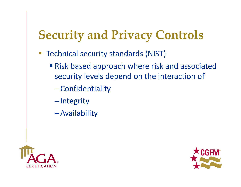- Technical security standards (NIST)
	- **Risk based approach where risk and associated** security levels depend on the interaction of
		- –Confidentiality
		- –Integrity
		- –Availability